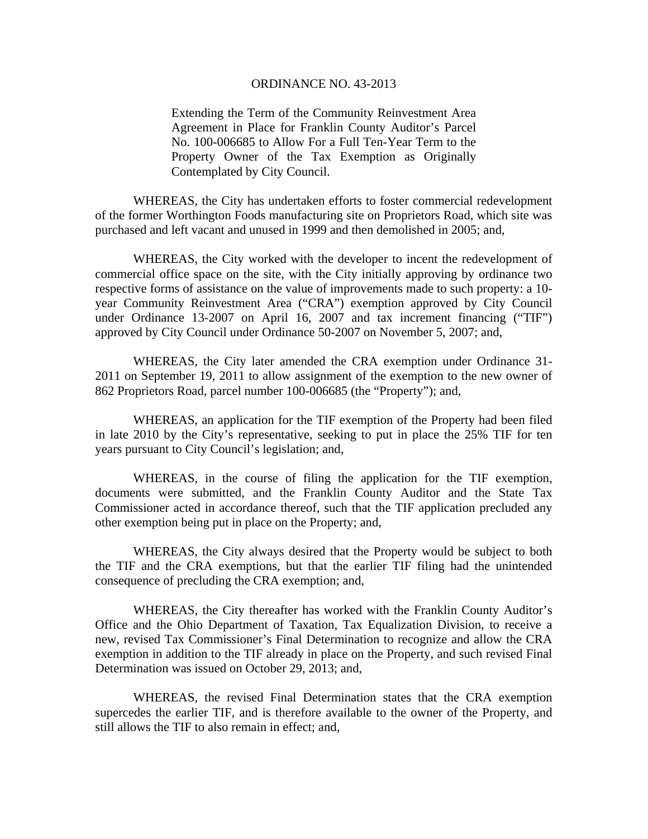## ORDINANCE NO. 43-2013

Extending the Term of the Community Reinvestment Area Agreement in Place for Franklin County Auditor's Parcel No. 100-006685 to Allow For a Full Ten-Year Term to the Property Owner of the Tax Exemption as Originally Contemplated by City Council.

WHEREAS, the City has undertaken efforts to foster commercial redevelopment of the former Worthington Foods manufacturing site on Proprietors Road, which site was purchased and left vacant and unused in 1999 and then demolished in 2005; and,

WHEREAS, the City worked with the developer to incent the redevelopment of commercial office space on the site, with the City initially approving by ordinance two respective forms of assistance on the value of improvements made to such property: a 10 year Community Reinvestment Area ("CRA") exemption approved by City Council under Ordinance 13-2007 on April 16, 2007 and tax increment financing ("TIF") approved by City Council under Ordinance 50-2007 on November 5, 2007; and,

WHEREAS, the City later amended the CRA exemption under Ordinance 31- 2011 on September 19, 2011 to allow assignment of the exemption to the new owner of 862 Proprietors Road, parcel number 100-006685 (the "Property"); and,

WHEREAS, an application for the TIF exemption of the Property had been filed in late 2010 by the City's representative, seeking to put in place the 25% TIF for ten years pursuant to City Council's legislation; and,

WHEREAS, in the course of filing the application for the TIF exemption, documents were submitted, and the Franklin County Auditor and the State Tax Commissioner acted in accordance thereof, such that the TIF application precluded any other exemption being put in place on the Property; and,

WHEREAS, the City always desired that the Property would be subject to both the TIF and the CRA exemptions, but that the earlier TIF filing had the unintended consequence of precluding the CRA exemption; and,

WHEREAS, the City thereafter has worked with the Franklin County Auditor's Office and the Ohio Department of Taxation, Tax Equalization Division, to receive a new, revised Tax Commissioner's Final Determination to recognize and allow the CRA exemption in addition to the TIF already in place on the Property, and such revised Final Determination was issued on October 29, 2013; and,

WHEREAS, the revised Final Determination states that the CRA exemption supercedes the earlier TIF, and is therefore available to the owner of the Property, and still allows the TIF to also remain in effect; and,